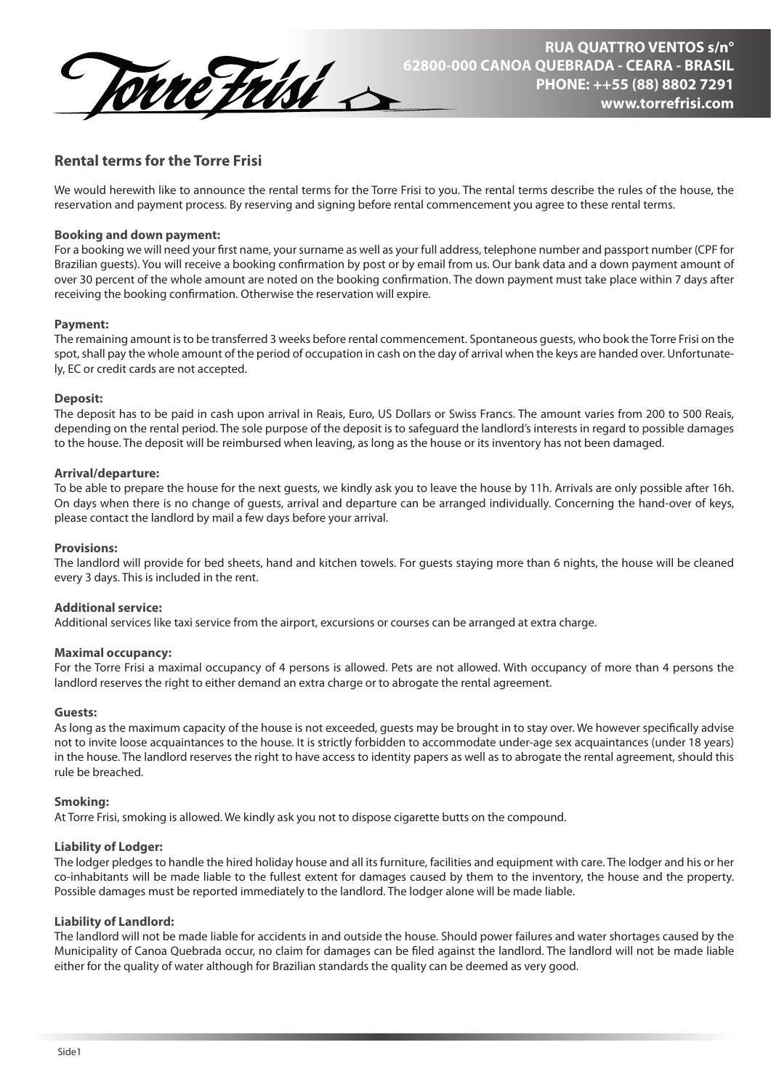

# **Rental terms for the Torre Frisi**

We would herewith like to announce the rental terms for the Torre Frisi to you. The rental terms describe the rules of the house, the reservation and payment process. By reserving and signing before rental commencement you agree to these rental terms.

# **Booking and down payment:**

For a booking we will need your first name, your surname as well as your full address, telephone number and passport number (CPF for Brazilian quests). You will receive a booking confirmation by post or by email from us. Our bank data and a down payment amount of over 30 percent of the whole amount are noted on the booking conrmation. The down payment must take place within 7 days after receiving the booking confirmation. Otherwise the reservation will expire.

## **Payment:**

The remaining amount is to be transferred 3 weeks before rental commencement. Spontaneous guests, who book the Torre Frisi on the spot, shall pay the whole amount of the period of occupation in cash on the day of arrival when the keys are handed over. Unfortunately, EC or credit cards are not accepted.

# **Deposit:**

The deposit has to be paid in cash upon arrival in Reais, Euro, US Dollars or Swiss Francs. The amount varies from 200 to 500 Reais, depending on the rental period. The sole purpose of the deposit is to safeguard the landlord's interests in regard to possible damages to the house. The deposit will be reimbursed when leaving, as long as the house or its inventory has not been damaged.

# **Arrival/departure:**

To be able to prepare the house for the next guests, we kindly ask you to leave the house by 11h. Arrivals are only possible after 16h. On days when there is no change of guests, arrival and departure can be arranged individually. Concerning the hand-over of keys, please contact the landlord by mail a few days before your arrival.

# **Provisions:**

The landlord will provide for bed sheets, hand and kitchen towels. For guests staying more than 6 nights, the house will be cleaned every 3 days. This is included in the rent.

# **Additional service:**

Additional services like taxi service from the airport, excursions or courses can be arranged at extra charge.

## **Maximal occupancy:**

For the Torre Frisi a maximal occupancy of 4 persons is allowed. Pets are not allowed. With occupancy of more than 4 persons the landlord reserves the right to either demand an extra charge or to abrogate the rental agreement.

## **Guests:**

As long as the maximum capacity of the house is not exceeded, guests may be brought in to stay over. We however specifically advise not to invite loose acquaintances to the house. It is strictly forbidden to accommodate under-age sex acquaintances (under 18 years) in the house. The landlord reserves the right to have access to identity papers as well as to abrogate the rental agreement, should this rule be breached.

## **Smoking:**

At Torre Frisi, smoking is allowed. We kindly ask you not to dispose cigarette butts on the compound.

# **Liability of Lodger:**

The lodger pledges to handle the hired holiday house and all its furniture, facilities and equipment with care. The lodger and his or her co-inhabitants will be made liable to the fullest extent for damages caused by them to the inventory, the house and the property. Possible damages must be reported immediately to the landlord. The lodger alone will be made liable.

## **Liability of Landlord:**

The landlord will not be made liable for accidents in and outside the house. Should power failures and water shortages caused by the Municipality of Canoa Quebrada occur, no claim for damages can be filed against the landlord. The landlord will not be made liable either for the quality of water although for Brazilian standards the quality can be deemed as very good.